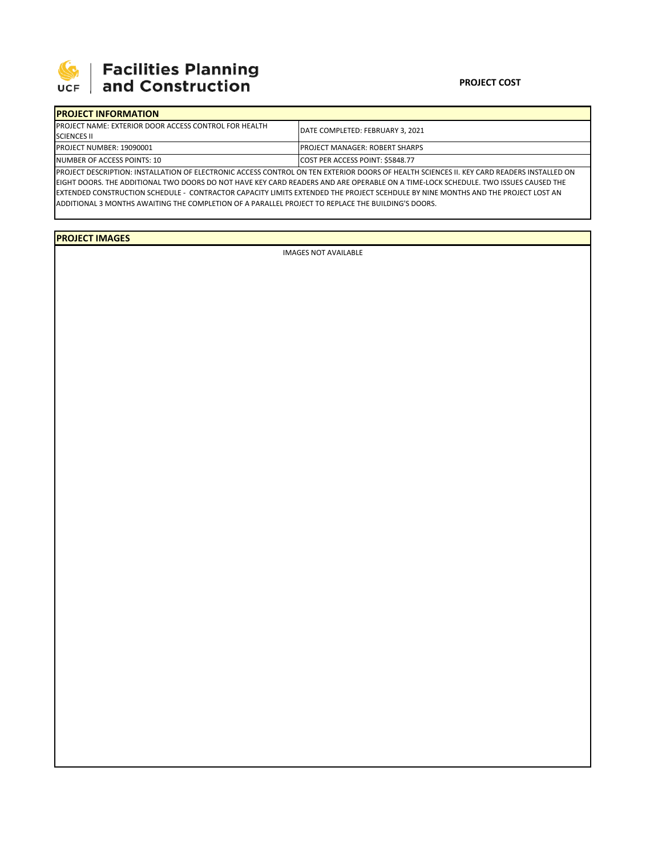

## 

## **PROJECT COST**

| <b>IPROJECT INFORMATION</b>                                   |                                                                                                                                           |  |  |  |  |
|---------------------------------------------------------------|-------------------------------------------------------------------------------------------------------------------------------------------|--|--|--|--|
| <b>IPROJECT NAME: EXTERIOR DOOR ACCESS CONTROL FOR HEALTH</b> | <b>IDATE COMPLETED: FEBRUARY 3. 2021</b>                                                                                                  |  |  |  |  |
| <b>SCIENCES II</b>                                            |                                                                                                                                           |  |  |  |  |
| <b>PROJECT NUMBER: 19090001</b>                               | <b>IPROJECT MANAGER: ROBERT SHARPS</b>                                                                                                    |  |  |  |  |
| NUMBER OF ACCESS POINTS: 10                                   | <b>COST PER ACCESS POINT: \$5848.77</b>                                                                                                   |  |  |  |  |
|                                                               | IBBOIECT BECCRIBTION, INCTALLATION OF FLECTRONIC ACCESS CONTROL ON TENLEVERBIOR BOORS OF HEALTH SCIENCES IL VEVISARD BEABERS INCTALLED ON |  |  |  |  |

PROJECT DESCRIPTION: INSTALLATION OF ELECTRONIC ACCESS CONTROL ON TEN EXTERIOR DOORS OF HEALTH SCIENCES II. KEY CARD READERS INSTALLED ON EIGHT DOORS. THE ADDITIONAL TWO DOORS DO NOT HAVE KEY CARD READERS AND ARE OPERABLE ON A TIME‐LOCK SCHEDULE. TWO ISSUES CAUSED THE EXTENDED CONSTRUCTION SCHEDULE ‐ CONTRACTOR CAPACITY LIMITS EXTENDED THE PROJECT SCEHDULE BY NINE MONTHS AND THE PROJECT LOST AN ADDITIONAL 3 MONTHS AWAITING THE COMPLETION OF A PARALLEL PROJECT TO REPLACE THE BUILDING'S DOORS.

**PROJECT IMAGES**

IMAGES NOT AVAILABLE